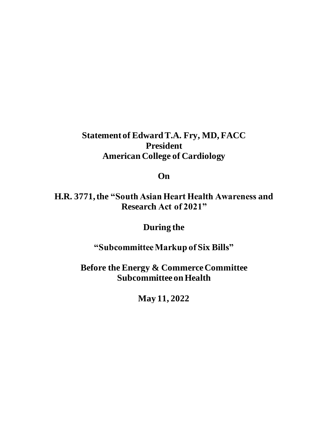## **Statement of Edward T.A. Fry, MD, FACC President American College of Cardiology**

**On**

**H.R. 3771, the "South Asian Heart Health Awareness and Research Act of 2021"**

**During the**

**"Subcommittee Markup of Six Bills"**

**Before the Energy & Commerce Committee Subcommittee on Health**

**May 11, 2022**